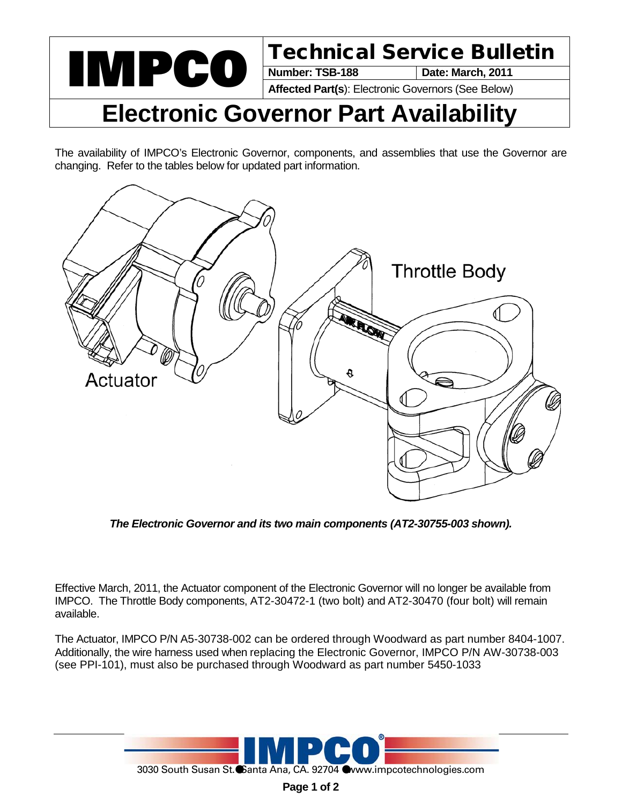

**Date: March, 2011** 

**Affected Part(s**): Electronic Governors (See Below)

## **Electronic Governor Part Availability**

The availability of IMPCO's Electronic Governor, components, and assemblies that use the Governor are changing. Refer to the tables below for updated part information.



*The Electronic Governor and its two main components (AT2-30755-003 shown).*

Effective March, 2011, the Actuator component of the Electronic Governor will no longer be available from IMPCO. The Throttle Body components, AT2-30472-1 (two bolt) and AT2-30470 (four bolt) will remain available.

The Actuator, IMPCO P/N A5-30738-002 can be ordered through Woodward as part number 8404-1007. Additionally, the wire harness used when replacing the Electronic Governor, IMPCO P/N AW-30738-003 (see PPI-101), must also be purchased through Woodward as part number 5450-1033